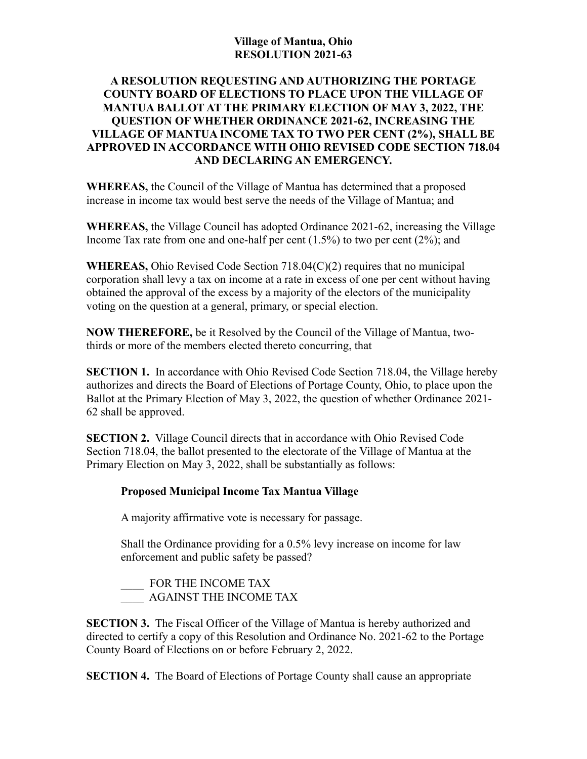## **Village of Mantua, Ohio RESOLUTION 2021-63**

## **A RESOLUTION REQUESTING AND AUTHORIZING THE PORTAGE COUNTY BOARD OF ELECTIONS TO PLACE UPON THE VILLAGE OF MANTUA BALLOT AT THE PRIMARY ELECTION OF MAY 3, 2022, THE QUESTION OF WHETHER ORDINANCE 2021-62, INCREASING THE VILLAGE OF MANTUA INCOME TAX TO TWO PER CENT (2%), SHALL BE APPROVED IN ACCORDANCE WITH OHIO REVISED CODE SECTION 718.04 AND DECLARING AN EMERGENCY.**

**WHEREAS,** the Council of the Village of Mantua has determined that a proposed increase in income tax would best serve the needs of the Village of Mantua; and

**WHEREAS,** the Village Council has adopted Ordinance 2021-62, increasing the Village Income Tax rate from one and one-half per cent  $(1.5%)$  to two per cent  $(2%)$ ; and

**WHEREAS,** Ohio Revised Code Section 718.04(C)(2) requires that no municipal corporation shall levy a tax on income at a rate in excess of one per cent without having obtained the approval of the excess by a majority of the electors of the municipality voting on the question at a general, primary, or special election.

**NOW THEREFORE,** be it Resolved by the Council of the Village of Mantua, twothirds or more of the members elected thereto concurring, that

**SECTION 1.** In accordance with Ohio Revised Code Section 718.04, the Village hereby authorizes and directs the Board of Elections of Portage County, Ohio, to place upon the Ballot at the Primary Election of May 3, 2022, the question of whether Ordinance 2021- 62 shall be approved.

**SECTION 2.** Village Council directs that in accordance with Ohio Revised Code Section 718.04, the ballot presented to the electorate of the Village of Mantua at the Primary Election on May 3, 2022, shall be substantially as follows:

## **Proposed Municipal Income Tax Mantua Village**

A majority affirmative vote is necessary for passage.

Shall the Ordinance providing for a 0.5% levy increase on income for law enforcement and public safety be passed?

FOR THE INCOME TAX \_\_\_\_ AGAINST THE INCOME TAX

**SECTION 3.** The Fiscal Officer of the Village of Mantua is hereby authorized and directed to certify a copy of this Resolution and Ordinance No. 2021-62 to the Portage County Board of Elections on or before February 2, 2022.

**SECTION 4.** The Board of Elections of Portage County shall cause an appropriate